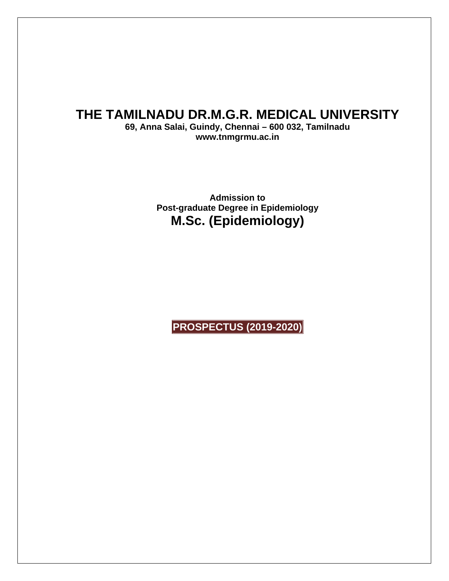## **THE TAMILNADU DR.M.G.R. MEDICAL UNIVERSITY**

**69, Anna Salai, Guindy, Chennai – 600 032, Tamilnadu www.tnmgrmu.ac.in** 

> **Admission to Post-graduate Degree in Epidemiology M.Sc. (Epidemiology)**

**PROSPECTUS (2019-2020)**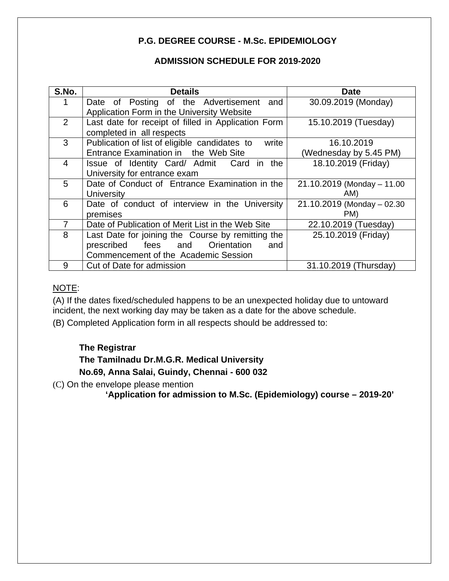### **P.G. DEGREE COURSE - M.Sc. EPIDEMIOLOGY**

### **ADMISSION SCHEDULE FOR 2019-2020**

| S.No.          | <b>Details</b>                                         | <b>Date</b>                 |
|----------------|--------------------------------------------------------|-----------------------------|
|                | Date of Posting of the Advertisement and               | 30.09.2019 (Monday)         |
|                | Application Form in the University Website             |                             |
| 2              | Last date for receipt of filled in Application Form    | 15.10.2019 (Tuesday)        |
|                | completed in all respects                              |                             |
| 3              | Publication of list of eligible candidates to<br>write | 16.10.2019                  |
|                | Entrance Examination in the Web Site                   | (Wednesday by 5.45 PM)      |
| $\overline{4}$ | Issue of Identity Card/ Admit Card in the              | 18.10.2019 (Friday)         |
|                | University for entrance exam                           |                             |
| 5              | Date of Conduct of Entrance Examination in the         | 21.10.2019 (Monday - 11.00  |
|                | <b>University</b>                                      | AM)                         |
| 6              | Date of conduct of interview in the University         | 21.10.2019 (Monday - 02.30) |
|                | premises                                               | PM)                         |
| $\overline{7}$ | Date of Publication of Merit List in the Web Site      | 22.10.2019 (Tuesday)        |
| 8              | Last Date for joining the Course by remitting the      | 25.10.2019 (Friday)         |
|                | prescribed fees and Orientation<br>and                 |                             |
|                | Commencement of the Academic Session                   |                             |
| 9              | Cut of Date for admission                              | 31.10.2019 (Thursday)       |

### NOTE:

(A) If the dates fixed/scheduled happens to be an unexpected holiday due to untoward incident, the next working day may be taken as a date for the above schedule.

(B) Completed Application form in all respects should be addressed to:

### **The Registrar**

### **The Tamilnadu Dr.M.G.R. Medical University**

 **No.69, Anna Salai, Guindy, Chennai - 600 032** 

(C) On the envelope please mention

**'Application for admission to M.Sc. (Epidemiology) course – 2019-20'**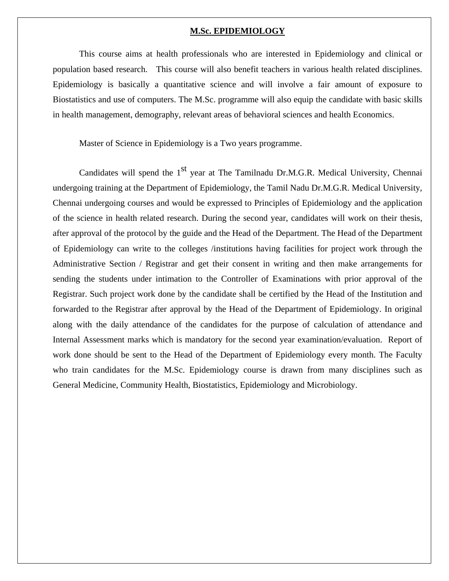#### **M.Sc. EPIDEMIOLOGY**

This course aims at health professionals who are interested in Epidemiology and clinical or population based research. This course will also benefit teachers in various health related disciplines. Epidemiology is basically a quantitative science and will involve a fair amount of exposure to Biostatistics and use of computers. The M.Sc. programme will also equip the candidate with basic skills in health management, demography, relevant areas of behavioral sciences and health Economics.

Master of Science in Epidemiology is a Two years programme.

Candidates will spend the  $1<sup>st</sup>$  year at The Tamilnadu Dr.M.G.R. Medical University, Chennai undergoing training at the Department of Epidemiology, the Tamil Nadu Dr.M.G.R. Medical University, Chennai undergoing courses and would be expressed to Principles of Epidemiology and the application of the science in health related research. During the second year, candidates will work on their thesis, after approval of the protocol by the guide and the Head of the Department. The Head of the Department of Epidemiology can write to the colleges /institutions having facilities for project work through the Administrative Section / Registrar and get their consent in writing and then make arrangements for sending the students under intimation to the Controller of Examinations with prior approval of the Registrar. Such project work done by the candidate shall be certified by the Head of the Institution and forwarded to the Registrar after approval by the Head of the Department of Epidemiology. In original along with the daily attendance of the candidates for the purpose of calculation of attendance and Internal Assessment marks which is mandatory for the second year examination/evaluation. Report of work done should be sent to the Head of the Department of Epidemiology every month. The Faculty who train candidates for the M.Sc. Epidemiology course is drawn from many disciplines such as General Medicine, Community Health, Biostatistics, Epidemiology and Microbiology.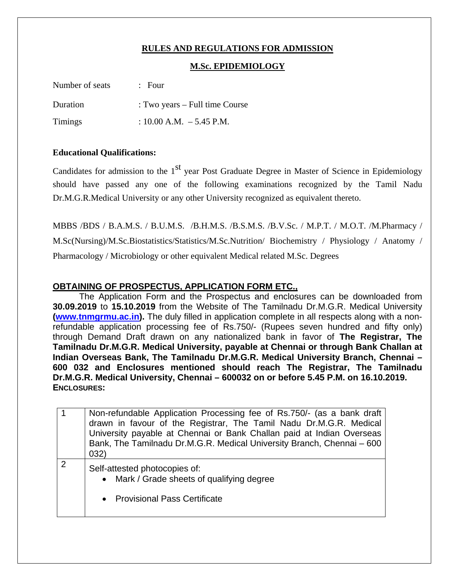### **RULES AND REGULATIONS FOR ADMISSION**

### **M.Sc. EPIDEMIOLOGY**

| Number of seats | $\therefore$ Four              |
|-----------------|--------------------------------|
| Duration        | : Two years – Full time Course |
| Timings         | : $10.00$ A.M. $-5.45$ P.M.    |

#### **Educational Qualifications:**

Candidates for admission to the  $1<sup>st</sup>$  year Post Graduate Degree in Master of Science in Epidemiology should have passed any one of the following examinations recognized by the Tamil Nadu Dr.M.G.R.Medical University or any other University recognized as equivalent thereto.

MBBS /BDS / B.A.M.S. / B.U.M.S. /B.H.M.S. /B.S.M.S. /B.V.Sc. / M.P.T. / M.O.T. /M.Pharmacy / M.Sc(Nursing)/M.Sc.Biostatistics/Statistics/M.Sc.Nutrition/ Biochemistry / Physiology / Anatomy / Pharmacology / Microbiology or other equivalent Medical related M.Sc. Degrees

### **OBTAINING OF PROSPECTUS, APPLICATION FORM ETC.,**

The Application Form and the Prospectus and enclosures can be downloaded from **30.09.2019** to **15.10.2019** from the Website of The Tamilnadu Dr.M.G.R. Medical University **(www.tnmgrmu.ac.in).** The duly filled in application complete in all respects along with a nonrefundable application processing fee of Rs.750/- (Rupees seven hundred and fifty only) through Demand Draft drawn on any nationalized bank in favor of **The Registrar, The Tamilnadu Dr.M.G.R. Medical University, payable at Chennai or through Bank Challan at Indian Overseas Bank, The Tamilnadu Dr.M.G.R. Medical University Branch, Chennai – 600 032 and Enclosures mentioned should reach The Registrar, The Tamilnadu Dr.M.G.R. Medical University, Chennai – 600032 on or before 5.45 P.M. on 16.10.2019. ENCLOSURES:**

|               | Non-refundable Application Processing fee of Rs.750/- (as a bank draft<br>drawn in favour of the Registrar, The Tamil Nadu Dr.M.G.R. Medical<br>University payable at Chennai or Bank Challan paid at Indian Overseas<br>Bank, The Tamilnadu Dr.M.G.R. Medical University Branch, Chennai - 600<br>032) |
|---------------|---------------------------------------------------------------------------------------------------------------------------------------------------------------------------------------------------------------------------------------------------------------------------------------------------------|
| $\mathcal{P}$ | Self-attested photocopies of:<br>• Mark / Grade sheets of qualifying degree<br>• Provisional Pass Certificate                                                                                                                                                                                           |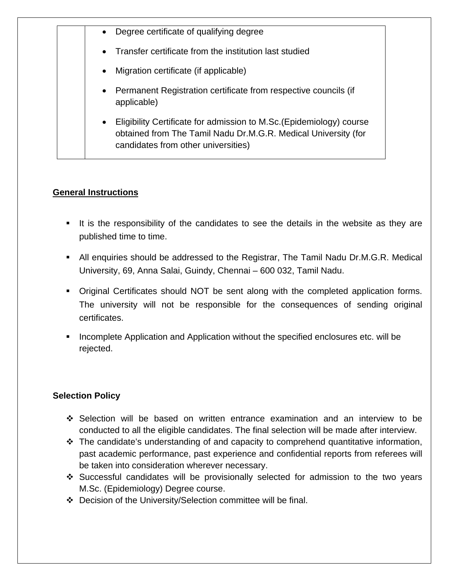| $\bullet$ | Degree certificate of qualifying degree                                                                                                                                       |
|-----------|-------------------------------------------------------------------------------------------------------------------------------------------------------------------------------|
| $\bullet$ | Transfer certificate from the institution last studied                                                                                                                        |
| $\bullet$ | Migration certificate (if applicable)                                                                                                                                         |
|           | • Permanent Registration certificate from respective councils (if<br>applicable)                                                                                              |
| $\bullet$ | Eligibility Certificate for admission to M.Sc. (Epidemiology) course<br>obtained from The Tamil Nadu Dr.M.G.R. Medical University (for<br>candidates from other universities) |

### **General Instructions**

- It is the responsibility of the candidates to see the details in the website as they are published time to time.
- All enquiries should be addressed to the Registrar, The Tamil Nadu Dr.M.G.R. Medical University, 69, Anna Salai, Guindy, Chennai – 600 032, Tamil Nadu.
- Original Certificates should NOT be sent along with the completed application forms. The university will not be responsible for the consequences of sending original certificates.
- **Incomplete Application and Application without the specified enclosures etc. will be** rejected.

### **Selection Policy**

- Selection will be based on written entrance examination and an interview to be conducted to all the eligible candidates. The final selection will be made after interview.
- $\cdot$  The candidate's understanding of and capacity to comprehend quantitative information, past academic performance, past experience and confidential reports from referees will be taken into consideration wherever necessary.
- Successful candidates will be provisionally selected for admission to the two years M.Sc. (Epidemiology) Degree course.
- Decision of the University/Selection committee will be final.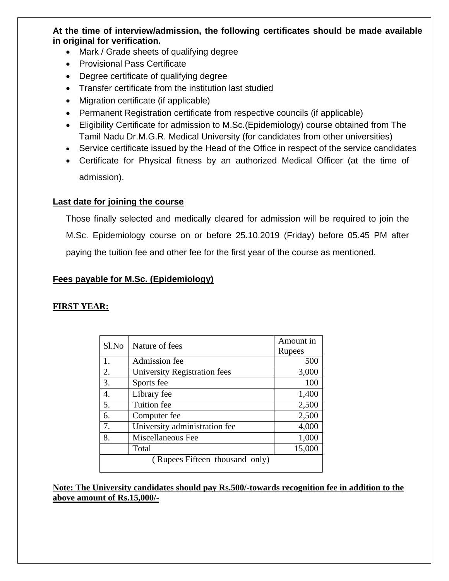**At the time of interview/admission, the following certificates should be made available in original for verification.** 

- Mark / Grade sheets of qualifying degree
- Provisional Pass Certificate
- Degree certificate of qualifying degree
- Transfer certificate from the institution last studied
- Migration certificate (if applicable)
- Permanent Registration certificate from respective councils (if applicable)
- Eligibility Certificate for admission to M.Sc.(Epidemiology) course obtained from The Tamil Nadu Dr.M.G.R. Medical University (for candidates from other universities)
- Service certificate issued by the Head of the Office in respect of the service candidates
- Certificate for Physical fitness by an authorized Medical Officer (at the time of admission).

### **Last date for joining the course**

Those finally selected and medically cleared for admission will be required to join the M.Sc. Epidemiology course on or before 25.10.2019 (Friday) before 05.45 PM after paying the tuition fee and other fee for the first year of the course as mentioned.

### **Fees payable for M.Sc. (Epidemiology)**

### **FIRST YEAR:**

| Sl.No                          | Nature of fees                | Amount in |  |  |
|--------------------------------|-------------------------------|-----------|--|--|
|                                |                               | Rupees    |  |  |
| 1.                             | Admission fee                 | 500       |  |  |
| 2.                             | University Registration fees  | 3,000     |  |  |
| 3.                             | Sports fee                    | 100       |  |  |
| 4.                             | Library fee                   | 1,400     |  |  |
| 5.                             | Tuition fee                   | 2,500     |  |  |
| 6.                             | Computer fee                  | 2,500     |  |  |
| 7.                             | University administration fee | 4,000     |  |  |
| 8.                             | Miscellaneous Fee             | 1,000     |  |  |
|                                | Total                         | 15,000    |  |  |
| (Rupees Fifteen thousand only) |                               |           |  |  |

**Note: The University candidates should pay Rs.500/-towards recognition fee in addition to the above amount of Rs.15,000/-**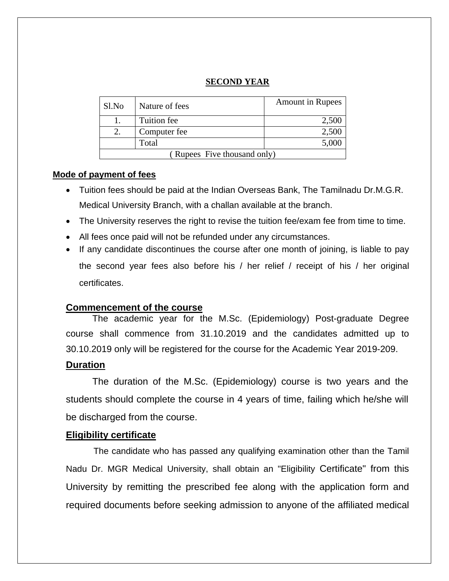### **SECOND YEAR**

| Sl.No                       | Nature of fees | <b>Amount in Rupees</b> |  |  |
|-----------------------------|----------------|-------------------------|--|--|
|                             | Tuition fee    | 2,500                   |  |  |
|                             | Computer fee   | 2,500                   |  |  |
|                             | Total          | 5,000                   |  |  |
| (Rupees Five thousand only) |                |                         |  |  |

#### **Mode of payment of fees**

- Tuition fees should be paid at the Indian Overseas Bank, The Tamilnadu Dr.M.G.R. Medical University Branch, with a challan available at the branch.
- The University reserves the right to revise the tuition fee/exam fee from time to time.
- All fees once paid will not be refunded under any circumstances.
- If any candidate discontinues the course after one month of joining, is liable to pay the second year fees also before his / her relief / receipt of his / her original certificates.

### **Commencement of the course**

The academic year for the M.Sc. (Epidemiology) Post-graduate Degree course shall commence from 31.10.2019 and the candidates admitted up to 30.10.2019 only will be registered for the course for the Academic Year 2019-209.

### **Duration**

The duration of the M.Sc. (Epidemiology) course is two years and the students should complete the course in 4 years of time, failing which he/she will be discharged from the course.

### **Eligibility certificate**

The candidate who has passed any qualifying examination other than the Tamil Nadu Dr. MGR Medical University, shall obtain an "Eligibility Certificate" from this University by remitting the prescribed fee along with the application form and required documents before seeking admission to anyone of the affiliated medical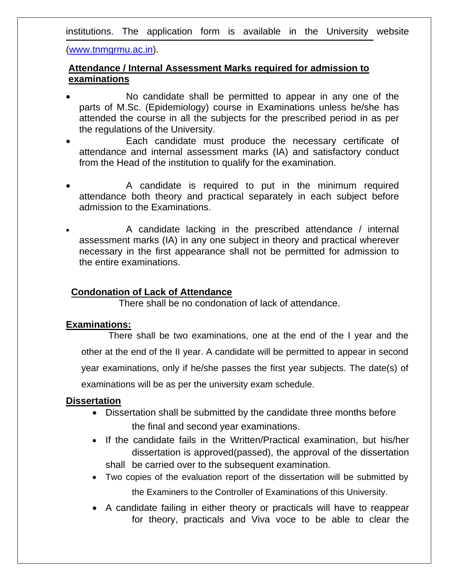institutions. The application form is available in the University website

(www.tnmgrmu.ac.in).

### **Attendance / Internal Assessment Marks required for admission to examinations**

- No candidate shall be permitted to appear in any one of the parts of M.Sc. (Epidemiology) course in Examinations unless he/she has attended the course in all the subjects for the prescribed period in as per the regulations of the University.
- Each candidate must produce the necessary certificate of attendance and internal assessment marks (IA) and satisfactory conduct from the Head of the institution to qualify for the examination.
- A candidate is required to put in the minimum required attendance both theory and practical separately in each subject before admission to the Examinations.
- A candidate lacking in the prescribed attendance / internal assessment marks (IA) in any one subject in theory and practical wherever necessary in the first appearance shall not be permitted for admission to the entire examinations.

### **Condonation of Lack of Attendance**

There shall be no condonation of lack of attendance.

### **Examinations:**

There shall be two examinations, one at the end of the I year and the other at the end of the II year. A candidate will be permitted to appear in second year examinations, only if he/she passes the first year subjects. The date(s) of examinations will be as per the university exam schedule.

### **Dissertation**

- Dissertation shall be submitted by the candidate three months before the final and second year examinations.
- If the candidate fails in the Written/Practical examination, but his/her dissertation is approved(passed), the approval of the dissertation shall be carried over to the subsequent examination.
- Two copies of the evaluation report of the dissertation will be submitted by the Examiners to the Controller of Examinations of this University.
- A candidate failing in either theory or practicals will have to reappear for theory, practicals and Viva voce to be able to clear the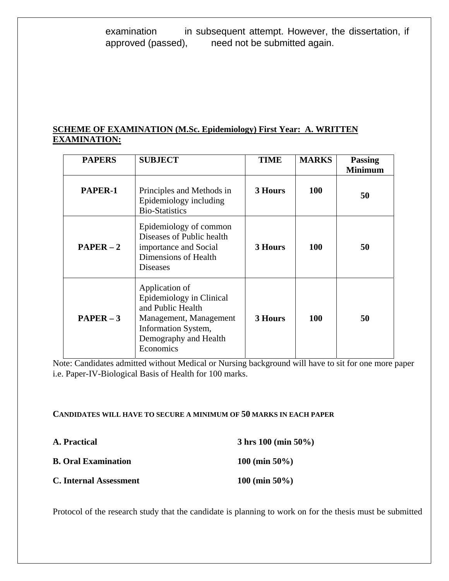examination in subsequent attempt. However, the dissertation, if approved (passed), need not be submitted again. need not be submitted again.

### **SCHEME OF EXAMINATION (M.Sc. Epidemiology) First Year: A. WRITTEN EXAMINATION:**

| <b>PAPERS</b> | <b>SUBJECT</b>                                                                                                                                         | <b>TIME</b> | <b>MARKS</b> | <b>Passing</b><br><b>Minimum</b> |
|---------------|--------------------------------------------------------------------------------------------------------------------------------------------------------|-------------|--------------|----------------------------------|
| PAPER-1       | Principles and Methods in<br>Epidemiology including<br><b>Bio-Statistics</b>                                                                           | 3 Hours     | <b>100</b>   | 50                               |
| $PAPER-2$     | Epidemiology of common<br>Diseases of Public health<br>importance and Social<br>Dimensions of Health<br><b>Diseases</b>                                | 3 Hours     | <b>100</b>   | 50                               |
| $PAPER-3$     | Application of<br>Epidemiology in Clinical<br>and Public Health<br>Management, Management<br>Information System,<br>Demography and Health<br>Economics | 3 Hours     | <b>100</b>   | 50                               |

Note: Candidates admitted without Medical or Nursing background will have to sit for one more paper i.e. Paper-IV-Biological Basis of Health for 100 marks.

### **CANDIDATES WILL HAVE TO SECURE A MINIMUM OF 50 MARKS IN EACH PAPER**

| A. Practical               | $3 \text{ hrs } 100 \text{ (min } 50\%$ |
|----------------------------|-----------------------------------------|
| <b>B.</b> Oral Examination | $100 \text{ (min } 50\%)$               |
| C. Internal Assessment     | $100 \text{ (min } 50\%$                |

Protocol of the research study that the candidate is planning to work on for the thesis must be submitted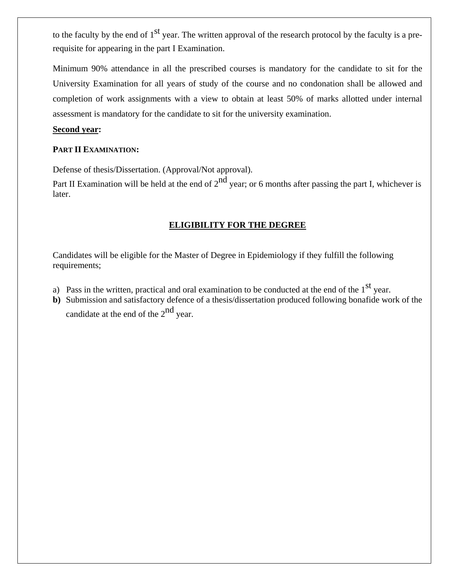to the faculty by the end of  $1<sup>st</sup>$  year. The written approval of the research protocol by the faculty is a prerequisite for appearing in the part I Examination.

Minimum 90% attendance in all the prescribed courses is mandatory for the candidate to sit for the University Examination for all years of study of the course and no condonation shall be allowed and completion of work assignments with a view to obtain at least 50% of marks allotted under internal assessment is mandatory for the candidate to sit for the university examination.

#### **Second year:**

#### **PART II EXAMINATION:**

Defense of thesis/Dissertation. (Approval/Not approval).

Part II Examination will be held at the end of  $2^{nd}$  year; or 6 months after passing the part I, whichever is later.

### **ELIGIBILITY FOR THE DEGREE**

Candidates will be eligible for the Master of Degree in Epidemiology if they fulfill the following requirements;

- a) Pass in the written, practical and oral examination to be conducted at the end of the  $1<sup>st</sup>$  vear.
- **b)** Submission and satisfactory defence of a thesis/dissertation produced following bonafide work of the candidate at the end of the  $2<sup>nd</sup>$  year.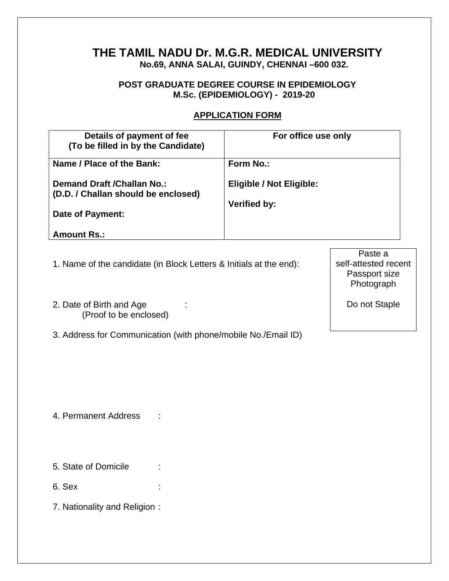## **THE TAMIL NADU Dr. M.G.R. MEDICAL UNIVERSITY No.69, ANNA SALAI, GUINDY, CHENNAI –600 032.**

### **POST GRADUATE DEGREE COURSE IN EPIDEMIOLOGY M.Sc. (EPIDEMIOLOGY) - 2019-20**

### **APPLICATION FORM**

| Details of payment of fee<br>(To be filled in by the Candidate)           | For office use only             |
|---------------------------------------------------------------------------|---------------------------------|
| Name / Place of the Bank:                                                 | Form No.:                       |
| <b>Demand Draft / Challan No.:</b><br>(D.D. / Challan should be enclosed) | <b>Eligible / Not Eligible:</b> |
| Date of Payment:                                                          | <b>Verified by:</b>             |
| <b>Amount Rs.:</b>                                                        |                                 |

- 1. Name of the candidate (in Block Letters & Initials at the end):
- 2. Date of Birth and Age : (Proof to be enclosed)
- 3. Address for Communication (with phone/mobile No./Email ID)

Paste a self-attested recent Passport size Photograph

Do not Staple

4. Permanent Address :

5. State of Domicile :

6. Sex :

7. Nationality and Religion :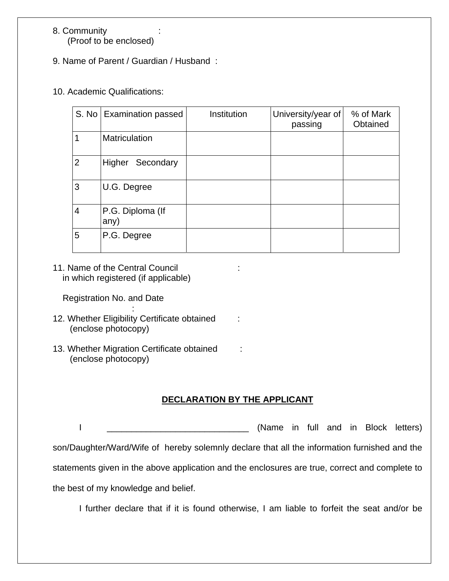### 8. Community (Proof to be enclosed)

- 9. Name of Parent / Guardian / Husband :
- 10. Academic Qualifications:

|                | S. No   Examination passed | Institution | University/year of<br>passing | % of Mark<br>Obtained |
|----------------|----------------------------|-------------|-------------------------------|-----------------------|
| 1              | <b>Matriculation</b>       |             |                               |                       |
| $\overline{2}$ | Higher Secondary           |             |                               |                       |
| 3              | U.G. Degree                |             |                               |                       |
| $\overline{4}$ | P.G. Diploma (If<br>any)   |             |                               |                       |
| 5              | P.G. Degree                |             |                               |                       |

11. Name of the Central Council : in which registered (if applicable)

Registration No. and Date

- **Service State State** 12. Whether Eligibility Certificate obtained : (enclose photocopy)
- 13. Whether Migration Certificate obtained : (enclose photocopy)

### **DECLARATION BY THE APPLICANT**

I constant and in tull and in Block letters) son/Daughter/Ward/Wife of hereby solemnly declare that all the information furnished and the statements given in the above application and the enclosures are true, correct and complete to the best of my knowledge and belief.

I further declare that if it is found otherwise, I am liable to forfeit the seat and/or be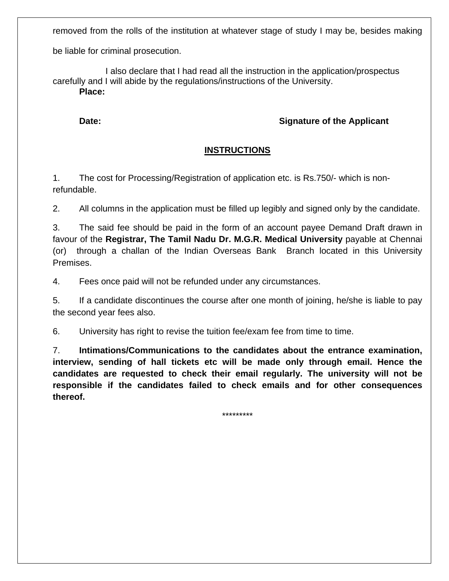removed from the rolls of the institution at whatever stage of study I may be, besides making

be liable for criminal prosecution.

 I also declare that I had read all the instruction in the application/prospectus carefully and I will abide by the regulations/instructions of the University. **Place:** 

**Date: Date: Signature of the Applicant** 

### **INSTRUCTIONS**

1. The cost for Processing/Registration of application etc. is Rs.750/- which is nonrefundable.

2. All columns in the application must be filled up legibly and signed only by the candidate.

3. The said fee should be paid in the form of an account payee Demand Draft drawn in favour of the **Registrar, The Tamil Nadu Dr. M.G.R. Medical University** payable at Chennai (or) through a challan of the Indian Overseas Bank Branch located in this University Premises.

4. Fees once paid will not be refunded under any circumstances.

5. If a candidate discontinues the course after one month of joining, he/she is liable to pay the second year fees also.

6. University has right to revise the tuition fee/exam fee from time to time.

7. **Intimations/Communications to the candidates about the entrance examination, interview, sending of hall tickets etc will be made only through email. Hence the candidates are requested to check their email regularly. The university will not be responsible if the candidates failed to check emails and for other consequences thereof.**

\*\*\*\*\*\*\*\*\*